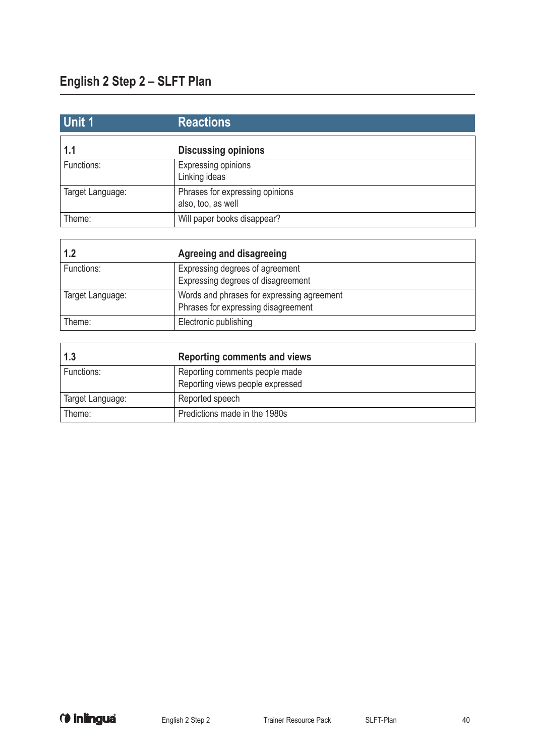| Unit 1           | <b>Reactions</b>                                      |
|------------------|-------------------------------------------------------|
| 1.1              | <b>Discussing opinions</b>                            |
| Functions:       | Expressing opinions<br>Linking ideas                  |
| Target Language: | Phrases for expressing opinions<br>also, too, as well |
| Theme:           | Will paper books disappear?                           |

| 1.2              | Agreeing and disagreeing                                                          |
|------------------|-----------------------------------------------------------------------------------|
| Functions:       | Expressing degrees of agreement<br>Expressing degrees of disagreement             |
| Target Language: | Words and phrases for expressing agreement<br>Phrases for expressing disagreement |
| Theme:           | Electronic publishing                                                             |

| 1.3              | <b>Reporting comments and views</b>                                |
|------------------|--------------------------------------------------------------------|
| Functions:       | Reporting comments people made<br>Reporting views people expressed |
| Target Language: | Reported speech                                                    |
| Theme:           | Predictions made in the 1980s                                      |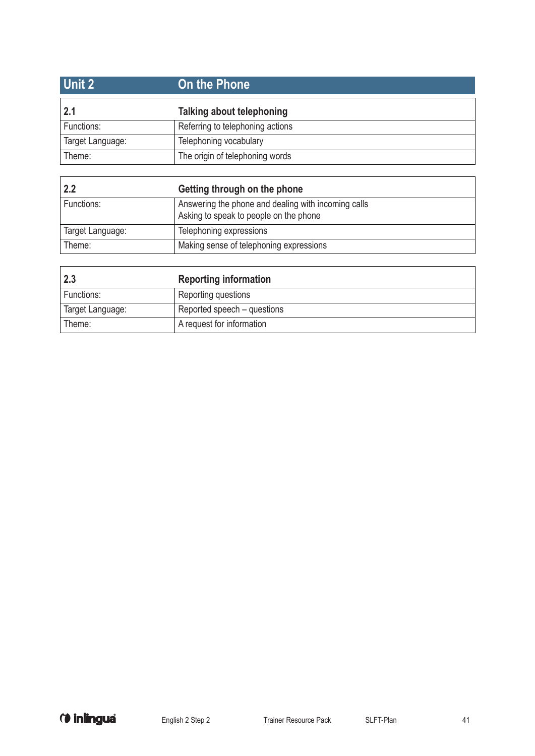| <b>Unit 2</b>    | On the Phone                     |
|------------------|----------------------------------|
| 2.1              | Talking about telephoning        |
| Functions:       | Referring to telephoning actions |
| Target Language: | Telephoning vocabulary           |
| Theme:           | The origin of telephoning words  |
|                  |                                  |
|                  |                                  |

| 2.2              | Getting through on the phone                                                                  |
|------------------|-----------------------------------------------------------------------------------------------|
| Functions:       | Answering the phone and dealing with incoming calls<br>Asking to speak to people on the phone |
| Target Language: | Telephoning expressions                                                                       |
| Theme:           | Making sense of telephoning expressions                                                       |

| 2.3              | <b>Reporting information</b> |
|------------------|------------------------------|
| Functions:       | Reporting questions          |
| Target Language: | Reported speech – questions  |
| Theme:           | A request for information    |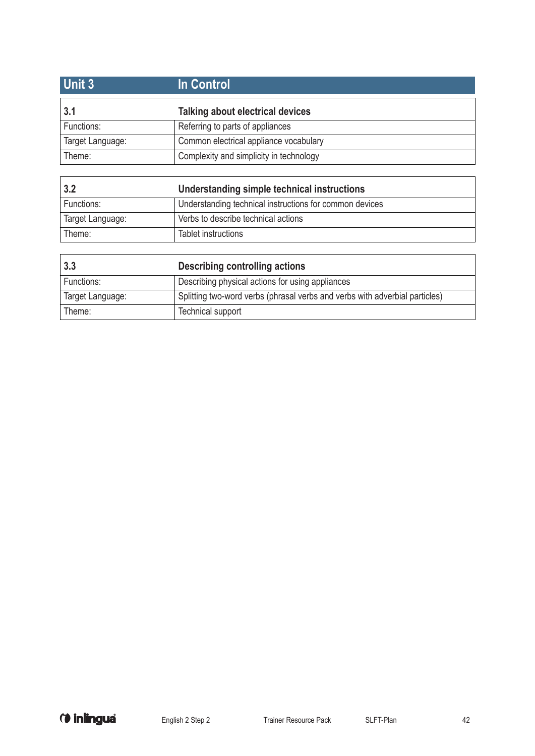| In Control                              |  |
|-----------------------------------------|--|
| <b>Talking about electrical devices</b> |  |
| Referring to parts of appliances        |  |
| Common electrical appliance vocabulary  |  |
| Complexity and simplicity in technology |  |
|                                         |  |
|                                         |  |

| 3.2              | Understanding simple technical instructions             |
|------------------|---------------------------------------------------------|
| Functions:       | Understanding technical instructions for common devices |
| Target Language: | Verbs to describe technical actions                     |
| Theme:           | Tablet instructions                                     |

| 3.3              | Describing controlling actions                                              |
|------------------|-----------------------------------------------------------------------------|
| Functions:       | Describing physical actions for using appliances                            |
| Target Language: | Splitting two-word verbs (phrasal verbs and verbs with adverbial particles) |
| Theme:           | Technical support                                                           |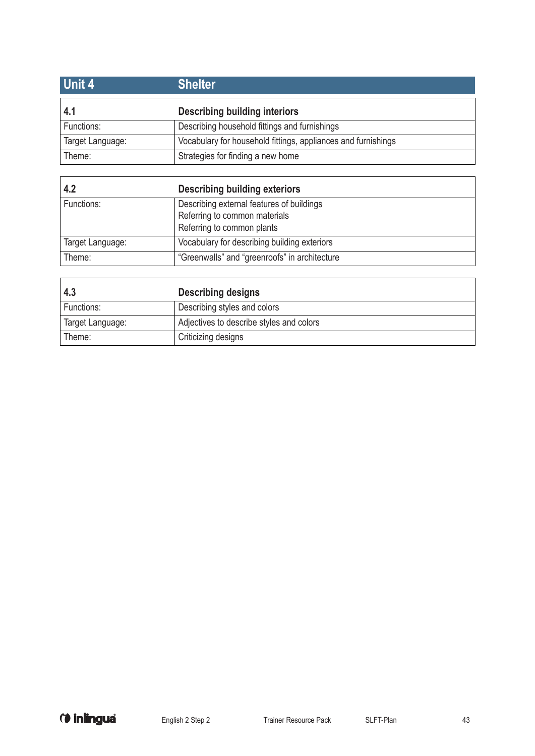| Unit 4           | <b>Shelter</b>                                                |
|------------------|---------------------------------------------------------------|
| 4.1              | <b>Describing building interiors</b>                          |
| Functions:       | Describing household fittings and furnishings                 |
| Target Language: | Vocabulary for household fittings, appliances and furnishings |
| Theme:           | Strategies for finding a new home                             |
|                  |                                                               |
|                  |                                                               |

| 4.2              | <b>Describing building exteriors</b>                                                                     |
|------------------|----------------------------------------------------------------------------------------------------------|
| Functions:       | Describing external features of buildings<br>Referring to common materials<br>Referring to common plants |
| Target Language: | Vocabulary for describing building exteriors                                                             |
| Theme:           | "Greenwalls" and "greenroofs" in architecture                                                            |

| 4.3              | <b>Describing designs</b>                |
|------------------|------------------------------------------|
| Functions:       | Describing styles and colors             |
| Target Language: | Adjectives to describe styles and colors |
| Theme:           | <sup>t</sup> Criticizing designs         |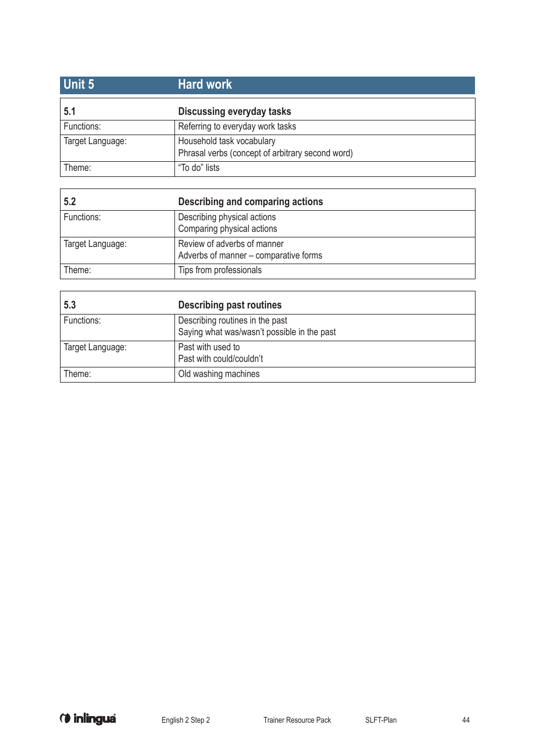| <b>Unit 5</b>    | <b>Hard work</b>                                                              |
|------------------|-------------------------------------------------------------------------------|
| 5.1              | <b>Discussing everyday tasks</b>                                              |
| Functions:       | Referring to everyday work tasks                                              |
| Target Language: | Household task vocabulary<br>Phrasal verbs (concept of arbitrary second word) |
| Theme:           | "To do" lists                                                                 |

| 5.2              | Describing and comparing actions                                     |
|------------------|----------------------------------------------------------------------|
| Functions:       | Describing physical actions<br>Comparing physical actions            |
| Target Language: | Review of adverbs of manner<br>Adverbs of manner - comparative forms |
| Theme:           | Tips from professionals                                              |

| 5.3              | <b>Describing past routines</b>                                                |
|------------------|--------------------------------------------------------------------------------|
| Functions:       | Describing routines in the past<br>Saying what was/wasn't possible in the past |
| Target Language: | Past with used to<br>Past with could/couldn't                                  |
| Theme:           | Old washing machines                                                           |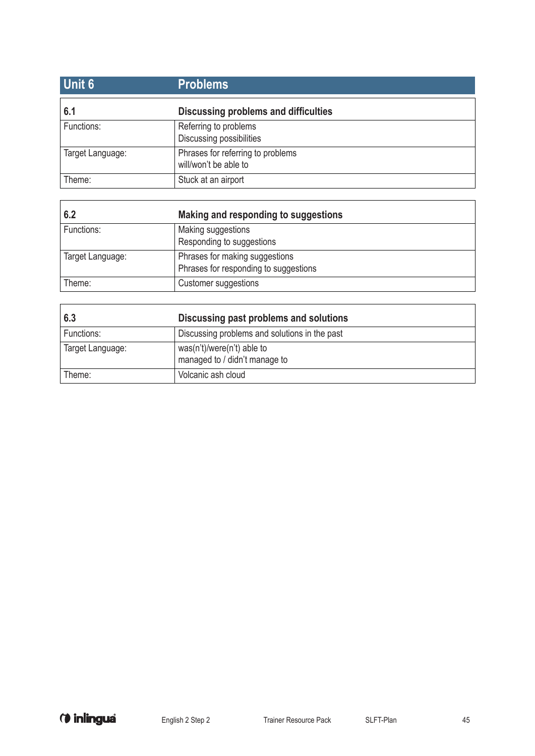| <b>Unit 6</b>    | <b>Problems</b>                                            |
|------------------|------------------------------------------------------------|
| 6.1              | Discussing problems and difficulties                       |
| Functions:       | Referring to problems<br>Discussing possibilities          |
| Target Language: | Phrases for referring to problems<br>will/won't be able to |
| Theme:           | Stuck at an airport                                        |

| 6.2              | Making and responding to suggestions                                    |
|------------------|-------------------------------------------------------------------------|
| Functions:       | Making suggestions<br>Responding to suggestions                         |
| Target Language: | Phrases for making suggestions<br>Phrases for responding to suggestions |
| Theme:           | Customer suggestions                                                    |

| 6.3              | Discussing past problems and solutions                        |
|------------------|---------------------------------------------------------------|
| Functions:       | Discussing problems and solutions in the past                 |
| Target Language: | $was(n't)/were(n't)$ able to<br>managed to / didn't manage to |
| Theme:           | Volcanic ash cloud                                            |

ı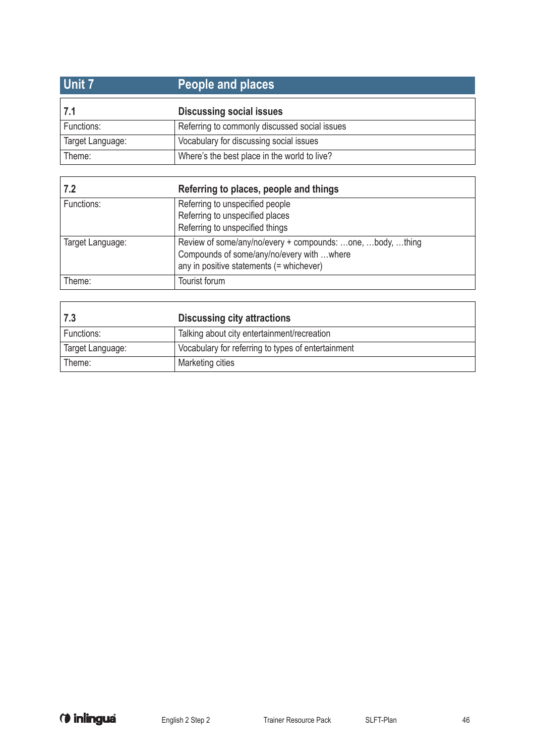| <b>Unit 7</b>    | People and places                             |
|------------------|-----------------------------------------------|
| 7.1              | <b>Discussing social issues</b>               |
| Functions:       | Referring to commonly discussed social issues |
| Target Language: | Vocabulary for discussing social issues       |
| Theme:           | Where's the best place in the world to live?  |

| 7.2              | Referring to places, people and things                                                                                                             |
|------------------|----------------------------------------------------------------------------------------------------------------------------------------------------|
| Functions:       | Referring to unspecified people<br>Referring to unspecified places<br>Referring to unspecified things                                              |
| Target Language: | Review of some/any/no/every + compounds: one, body, thing<br>Compounds of some/any/no/every with where<br>any in positive statements (= whichever) |
| Theme:           | Tourist forum                                                                                                                                      |

| 7.3              | <b>Discussing city attractions</b>                 |
|------------------|----------------------------------------------------|
| Functions:       | Talking about city entertainment/recreation        |
| Target Language: | Vocabulary for referring to types of entertainment |
| Theme:           | Marketing cities                                   |

 $\overline{1}$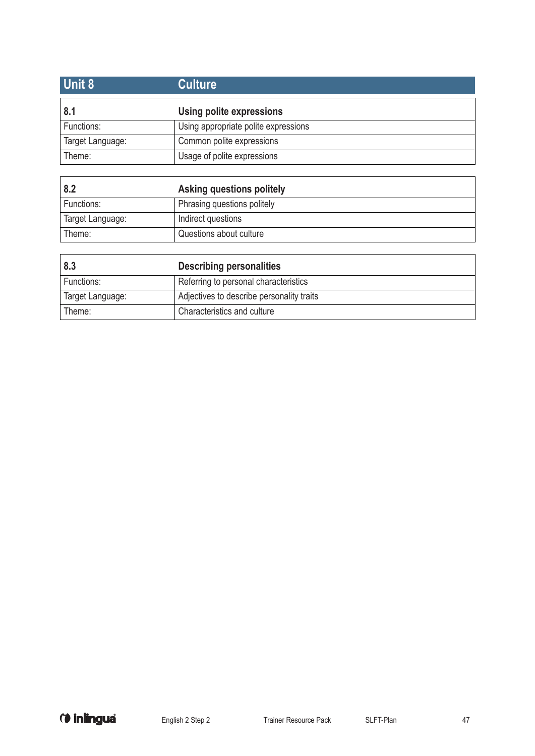| Unit 8           | <b>Culture</b>                       |
|------------------|--------------------------------------|
| 8.1              | Using polite expressions             |
| Functions:       | Using appropriate polite expressions |
| Target Language: | Common polite expressions            |
| Theme:           | Usage of polite expressions          |

| 8.2              | Asking questions politely   |
|------------------|-----------------------------|
| Functions:       | Phrasing questions politely |
| Target Language: | Indirect questions          |
| Theme:           | Questions about culture     |

| 8.3              | <b>Describing personalities</b>           |
|------------------|-------------------------------------------|
| Functions:       | Referring to personal characteristics     |
| Target Language: | Adjectives to describe personality traits |
| Theme:           | Characteristics and culture               |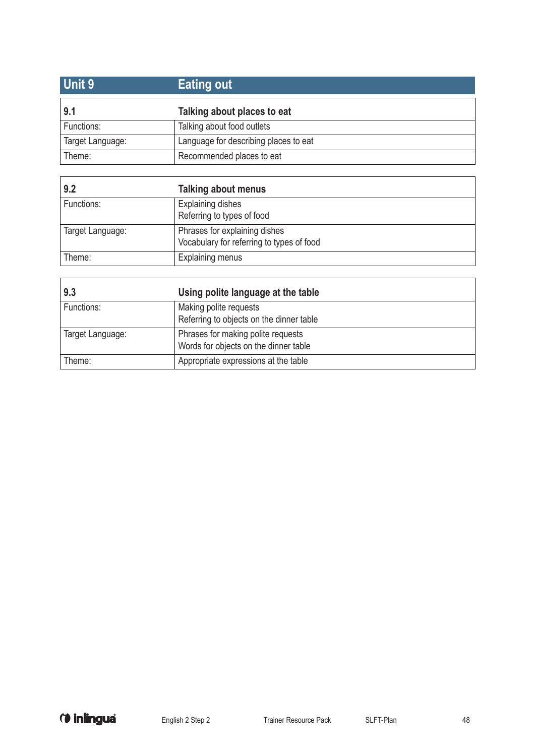| Unit 9           | <b>Eating out</b>                     |
|------------------|---------------------------------------|
| 9.1              | Talking about places to eat           |
| Functions:       | Talking about food outlets            |
| Target Language: | Language for describing places to eat |
| Theme:           | Recommended places to eat             |

| 9.2              | <b>Talking about menus</b>                |
|------------------|-------------------------------------------|
| Functions:       | Explaining dishes                         |
|                  | Referring to types of food                |
| Target Language: | Phrases for explaining dishes             |
|                  | Vocabulary for referring to types of food |
| Theme:           | <b>Explaining menus</b>                   |

| 9.3              | Using polite language at the table                                          |
|------------------|-----------------------------------------------------------------------------|
| Functions:       | Making polite requests<br>Referring to objects on the dinner table          |
| Target Language: | Phrases for making polite requests<br>Words for objects on the dinner table |
| Theme:           | Appropriate expressions at the table                                        |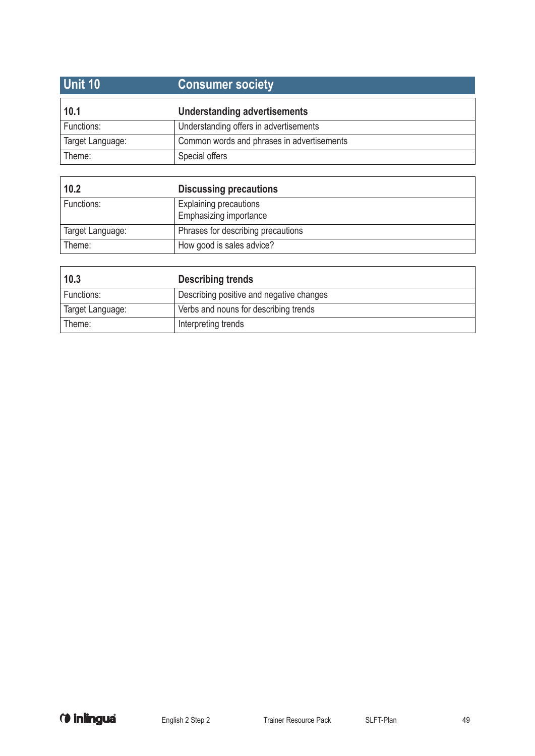| <b>Unit 10</b>   | <b>Consumer society</b>                    |
|------------------|--------------------------------------------|
| 10.1             | Understanding advertisements               |
| Functions:       | Understanding offers in advertisements     |
| Target Language: | Common words and phrases in advertisements |
| Theme:           | Special offers                             |

| 10.2             | <b>Discussing precautions</b>                           |
|------------------|---------------------------------------------------------|
| Functions:       | <b>Explaining precautions</b><br>Emphasizing importance |
| Target Language: | Phrases for describing precautions                      |
| Theme:           | How good is sales advice?                               |

| 10.3             | <b>Describing trends</b>                 |
|------------------|------------------------------------------|
| Functions:       | Describing positive and negative changes |
| Target Language: | Verbs and nouns for describing trends    |
| Theme:           | Interpreting trends                      |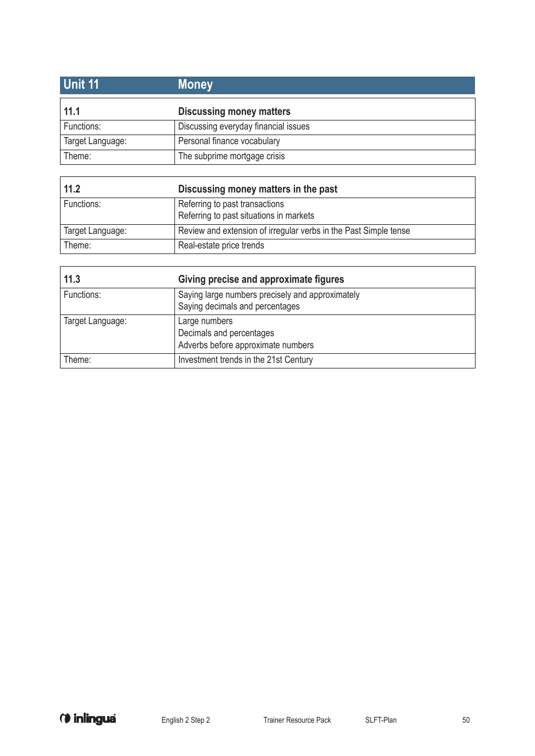| <b>Unit 11</b>   | <b>Money</b>                         |
|------------------|--------------------------------------|
| 11.1             | <b>Discussing money matters</b>      |
| Functions:       | Discussing everyday financial issues |
| Target Language: | Personal finance vocabulary          |
| Theme:           | The subprime mortgage crisis         |

| 11.2             | Discussing money matters in the past                                      |
|------------------|---------------------------------------------------------------------------|
| Functions:       | Referring to past transactions<br>Referring to past situations in markets |
| Target Language: | Review and extension of irregular verbs in the Past Simple tense          |
| Theme:           | Real-estate price trends                                                  |

| 11.3             | Giving precise and approximate figures                                              |
|------------------|-------------------------------------------------------------------------------------|
| Functions:       | Saying large numbers precisely and approximately<br>Saying decimals and percentages |
| Target Language: | Large numbers<br>Decimals and percentages<br>Adverbs before approximate numbers     |
| Theme:           | Investment trends in the 21st Century                                               |

 $\overline{1}$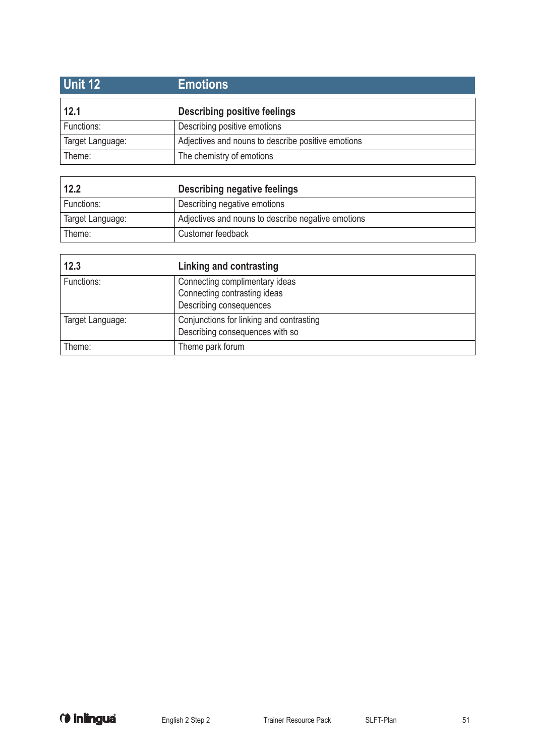| Unit 12          | <b>Emotions</b>                                    |
|------------------|----------------------------------------------------|
| 12.1             | <b>Describing positive feelings</b>                |
| Functions:       | Describing positive emotions                       |
| Target Language: | Adjectives and nouns to describe positive emotions |
| Theme:           | The chemistry of emotions                          |

| 12.2             | Describing negative feelings                       |
|------------------|----------------------------------------------------|
| Functions:       | Describing negative emotions                       |
| Target Language: | Adjectives and nouns to describe negative emotions |
| Theme:           | Customer feedback                                  |

| 12.3             | Linking and contrasting                                                                   |
|------------------|-------------------------------------------------------------------------------------------|
| Functions:       | Connecting complimentary ideas<br>Connecting contrasting ideas<br>Describing consequences |
| Target Language: | Conjunctions for linking and contrasting<br>Describing consequences with so               |
| Theme:           | Theme park forum                                                                          |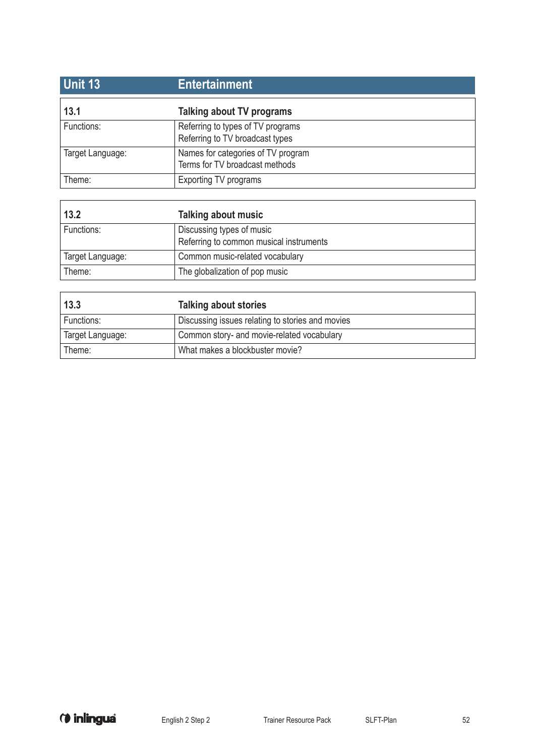| <b>Unit 13</b>   | <b>Entertainment</b>                                                 |
|------------------|----------------------------------------------------------------------|
| 13.1             | Talking about TV programs                                            |
| Functions:       | Referring to types of TV programs<br>Referring to TV broadcast types |
| Target Language: | Names for categories of TV program<br>Terms for TV broadcast methods |
| Theme:           | <b>Exporting TV programs</b>                                         |

| 13.2             | <b>Talking about music</b>                                           |
|------------------|----------------------------------------------------------------------|
| Functions:       | Discussing types of music<br>Referring to common musical instruments |
| Target Language: | Common music-related vocabulary                                      |
| Theme:           | The globalization of pop music                                       |

| 13.3             | <b>Talking about stories</b>                     |
|------------------|--------------------------------------------------|
| Functions:       | Discussing issues relating to stories and movies |
| Target Language: | Common story- and movie-related vocabulary       |
| Theme:           | What makes a blockbuster movie?                  |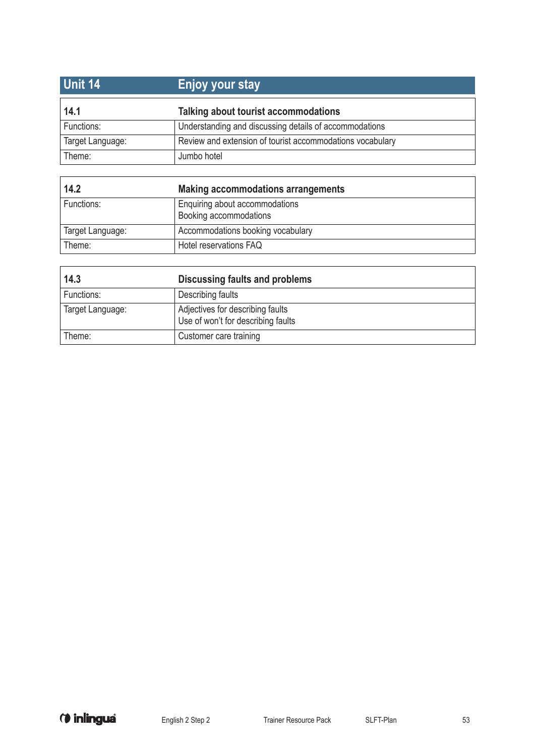| Unit 14          | <b>Enjoy your stay</b>                                    |
|------------------|-----------------------------------------------------------|
| 14.1             | Talking about tourist accommodations                      |
| Functions:       | Understanding and discussing details of accommodations    |
| Target Language: | Review and extension of tourist accommodations vocabulary |
| Theme:           | Jumbo hotel                                               |

| 14.2             | Making accommodations arrangements                       |
|------------------|----------------------------------------------------------|
| Functions:       | Enquiring about accommodations<br>Booking accommodations |
| Target Language: | Accommodations booking vocabulary                        |
| Theme:           | Hotel reservations FAQ                                   |

| 14.3             | <b>Discussing faults and problems</b>                                  |
|------------------|------------------------------------------------------------------------|
| Functions:       | Describing faults                                                      |
| Target Language: | Adjectives for describing faults<br>Use of won't for describing faults |
| Theme:           | Customer care training                                                 |